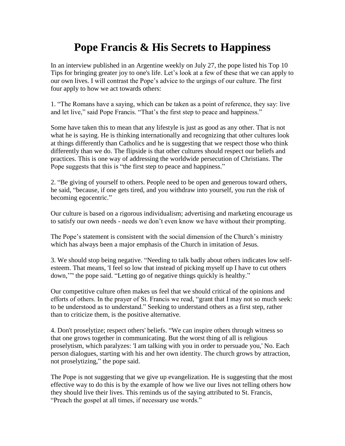## **Pope Francis & His Secrets to Happiness**

In an interview published in an Argentine weekly on July 27, the pope listed his Top 10 Tips for bringing greater joy to one's life. Let's look at a few of these that we can apply to our own lives. I will contrast the Pope's advice to the urgings of our culture. The first four apply to how we act towards others:

1. "The Romans have a saying, which can be taken as a point of reference, they say: live and let live," said Pope Francis. "That's the first step to peace and happiness."

Some have taken this to mean that any lifestyle is just as good as any other. That is not what he is saying. He is thinking internationally and recognizing that other cultures look at things differently than Catholics and he is suggesting that we respect those who think differently than we do. The flipside is that other cultures should respect our beliefs and practices. This is one way of addressing the worldwide persecution of Christians. The Pope suggests that this is "the first step to peace and happiness."

2. "Be giving of yourself to others. People need to be open and generous toward others, he said, "because, if one gets tired, and you withdraw into yourself, you run the risk of becoming egocentric."

Our culture is based on a rigorous individualism; advertising and marketing encourage us to satisfy our own needs - needs we don't even know we have without their prompting.

The Pope's statement is consistent with the social dimension of the Church's ministry which has always been a major emphasis of the Church in imitation of Jesus.

3. We should stop being negative. "Needing to talk badly about others indicates low selfesteem. That means, 'I feel so low that instead of picking myself up I have to cut others down,'"' the pope said. "Letting go of negative things quickly is healthy."

Our competitive culture often makes us feel that we should critical of the opinions and efforts of others. In the prayer of St. Francis we read, "grant that I may not so much seek: to be understood as to understand." Seeking to understand others as a first step, rather than to criticize them, is the positive alternative.

4. Don't proselytize; respect others' beliefs. "We can inspire others through witness so that one grows together in communicating. But the worst thing of all is religious proselytism, which paralyzes: 'I am talking with you in order to persuade you,' No. Each person dialogues, starting with his and her own identity. The church grows by attraction, not proselytizing," the pope said.

The Pope is not suggesting that we give up evangelization. He is suggesting that the most effective way to do this is by the example of how we live our lives not telling others how they should live their lives. This reminds us of the saying attributed to St. Francis, "Preach the gospel at all times, if necessary use words."